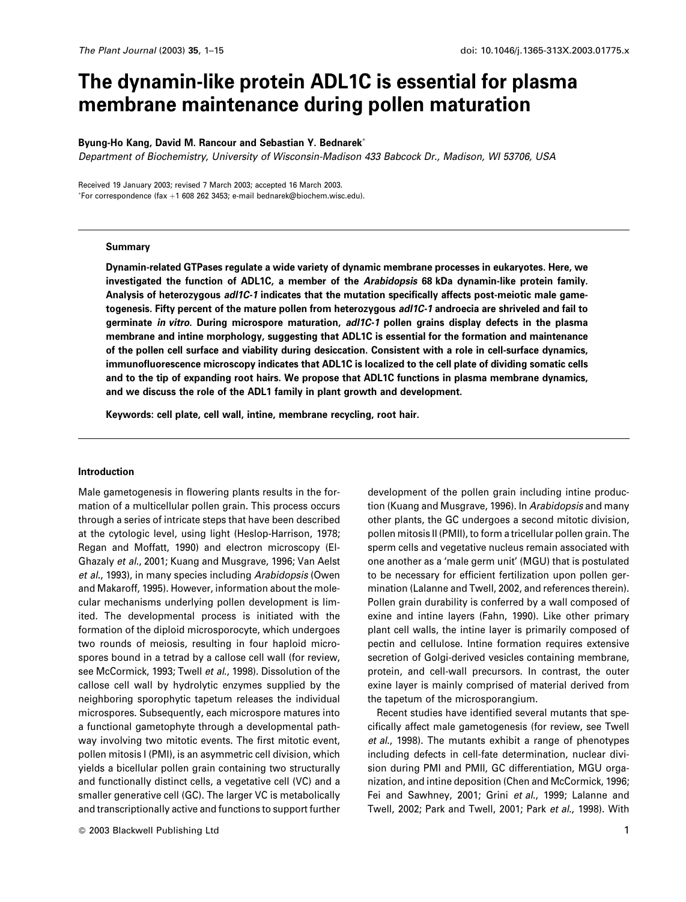# The dynamin-like protein ADL1C is essential for plasma membrane maintenance during pollen maturation

# Byung-Ho Kang, David M. Rancour and Sebastian Y. Bednarek\*

Department of Biochemistry, University of Wisconsin-Madison 433 Babcock Dr., Madison, WI 53706, USA

Received 19 January 2003; revised 7 March 2003; accepted 16 March 2003. \*For correspondence (fax +1 608 262 3453; e-mail bednarek@biochem.wisc.edu).

#### **Summary**

Dynamin-related GTPases regulate a wide variety of dynamic membrane processes in eukaryotes. Here, we investigated the function of ADL1C, a member of the Arabidopsis 68 kDa dynamin-like protein family. Analysis of heterozygous adl1C-1 indicates that the mutation specifically affects post-meiotic male gametogenesis. Fifty percent of the mature pollen from heterozygous adl1C-1 androecia are shriveled and fail to germinate in vitro. During microspore maturation, adl1C-1 pollen grains display defects in the plasma membrane and intine morphology, suggesting that ADL1C is essential for the formation and maintenance of the pollen cell surface and viability during desiccation. Consistent with a role in cell-surface dynamics, immunofluorescence microscopy indicates that ADL1C is localized to the cell plate of dividing somatic cells and to the tip of expanding root hairs. We propose that ADL1C functions in plasma membrane dynamics, and we discuss the role of the ADL1 family in plant growth and development.

Keywords: cell plate, cell wall, intine, membrane recycling, root hair.

#### Introduction

Male gametogenesis in flowering plants results in the formation of a multicellular pollen grain. This process occurs through a series of intricate steps that have been described at the cytologic level, using light (Heslop-Harrison, 1978; Regan and Moffatt, 1990) and electron microscopy (El-Ghazaly et al., 2001; Kuang and Musgrave, 1996; Van Aelst et al., 1993), in many species including Arabidopsis (Owen and Makaroff, 1995). However, information about the molecular mechanisms underlying pollen development is limited. The developmental process is initiated with the formation of the diploid microsporocyte, which undergoes two rounds of meiosis, resulting in four haploid microspores bound in a tetrad by a callose cell wall (for review, see McCormick, 1993; Twell et al., 1998). Dissolution of the callose cell wall by hydrolytic enzymes supplied by the neighboring sporophytic tapetum releases the individual microspores. Subsequently, each microspore matures into a functional gametophyte through a developmental pathway involving two mitotic events. The first mitotic event, pollen mitosis I (PMI), is an asymmetric cell division, which yields a bicellular pollen grain containing two structurally and functionally distinct cells, a vegetative cell (VC) and a smaller generative cell (GC). The larger VC is metabolically and transcriptionally active and functions to support further

development of the pollen grain including intine production (Kuang and Musgrave, 1996). In Arabidopsis and many other plants, the GC undergoes a second mitotic division, pollen mitosis II (PMII), to form a tricellular pollen grain. The sperm cells and vegetative nucleus remain associated with one another as a 'male germ unit' (MGU) that is postulated to be necessary for efficient fertilization upon pollen germination (Lalanne and Twell, 2002, and references therein). Pollen grain durability is conferred by a wall composed of exine and intine layers (Fahn, 1990). Like other primary plant cell walls, the intine layer is primarily composed of pectin and cellulose. Intine formation requires extensive secretion of Golgi-derived vesicles containing membrane, protein, and cell-wall precursors. In contrast, the outer exine layer is mainly comprised of material derived from the tapetum of the microsporangium.

Recent studies have identified several mutants that specifically affect male gametogenesis (for review, see Twell et al., 1998). The mutants exhibit a range of phenotypes including defects in cell-fate determination, nuclear division during PMI and PMII, GC differentiation, MGU organization, and intine deposition (Chen and McCormick, 1996; Fei and Sawhney, 2001; Grini et al., 1999; Lalanne and Twell, 2002; Park and Twell, 2001; Park et al., 1998). With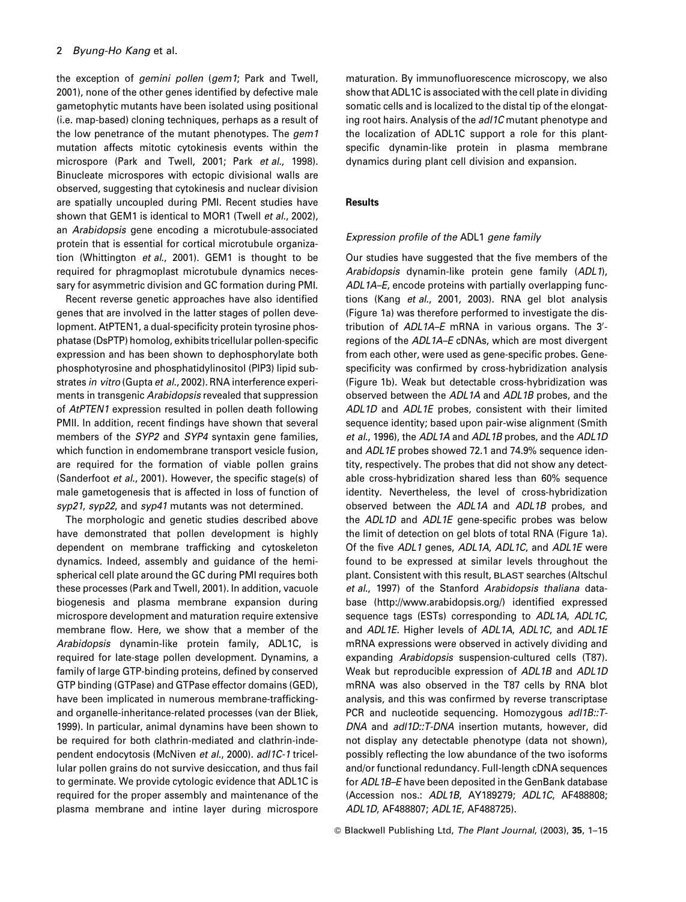# 2 Byung-Ho Kang et al.

the exception of *gemini pollen* (*gem1*; Park and Twell, 2001), none of the other genes identified by defective male gametophytic mutants have been isolated using positional (i.e. map-based) cloning techniques, perhaps as a result of the low penetrance of the mutant phenotypes. The gem1 mutation affects mitotic cytokinesis events within the microspore (Park and Twell, 2001; Park et al., 1998). Binucleate microspores with ectopic divisional walls are observed, suggesting that cytokinesis and nuclear division are spatially uncoupled during PMI. Recent studies have shown that GEM1 is identical to MOR1 (Twell et al., 2002), an Arabidopsis gene encoding a microtubule-associated protein that is essential for cortical microtubule organization (Whittington et al., 2001). GEM1 is thought to be required for phragmoplast microtubule dynamics necessary for asymmetric division and GC formation during PMI.

Recent reverse genetic approaches have also identified genes that are involved in the latter stages of pollen development. AtPTEN1, a dual-specificity protein tyrosine phosphatase (DsPTP) homolog, exhibits tricellular pollen-specific expression and has been shown to dephosphorylate both phosphotyrosine and phosphatidylinositol (PIP3) lipid substrates in vitro (Gupta et al., 2002). RNA interference experiments in transgenic Arabidopsis revealed that suppression of AtPTEN1 expression resulted in pollen death following PMII. In addition, recent findings have shown that several members of the SYP2 and SYP4 syntaxin gene families, which function in endomembrane transport vesicle fusion, are required for the formation of viable pollen grains (Sanderfoot et al., 2001). However, the specific stage(s) of male gametogenesis that is affected in loss of function of syp21, syp22, and syp41 mutants was not determined.

The morphologic and genetic studies described above have demonstrated that pollen development is highly dependent on membrane trafficking and cytoskeleton dynamics. Indeed, assembly and quidance of the hemispherical cell plate around the GC during PMI requires both these processes (Park and Twell, 2001). In addition, vacuole biogenesis and plasma membrane expansion during microspore development and maturation require extensive membrane flow. Here, we show that a member of the Arabidopsis dynamin-like protein family, ADL1C, is required for late-stage pollen development. Dynamins, a family of large GTP-binding proteins, defined by conserved GTP binding (GTPase) and GTPase effector domains (GED), have been implicated in numerous membrane-traffickingand organelle-inheritance-related processes (van der Bliek, 1999). In particular, animal dynamins have been shown to be required for both clathrin-mediated and clathrin-independent endocytosis (McNiven et al., 2000). adl1C-1 tricellular pollen grains do not survive desiccation, and thus fail to germinate. We provide cytologic evidence that ADL1C is required for the proper assembly and maintenance of the plasma membrane and intine layer during microspore maturation. By immunofluorescence microscopy, we also show that ADL1C is associated with the cell plate in dividing somatic cells and is localized to the distal tip of the elongating root hairs. Analysis of the adl1C mutant phenotype and the localization of ADL1C support a role for this plantspecific dynamin-like protein in plasma membrane dynamics during plant cell division and expansion.

# **Results**

## Expression profile of the ADL1 gene family

Our studies have suggested that the five members of the Arabidopsis dynamin-like protein gene family (ADL1), ADL1A-E, encode proteins with partially overlapping functions (Kang et al., 2001, 2003). RNA gel blot analysis (Figure 1a) was therefore performed to investigate the distribution of ADL1A–E mRNA in various organs. The 3'regions of the ADL1A-E cDNAs, which are most divergent from each other, were used as gene-specific probes. Genespecificity was confirmed by cross-hybridization analysis (Figure 1b). Weak but detectable cross-hybridization was observed between the ADL1A and ADL1B probes, and the ADL1D and ADL1E probes, consistent with their limited sequence identity; based upon pair-wise alignment (Smith et al., 1996), the ADL1A and ADL1B probes, and the ADL1D and ADL1E probes showed 72.1 and 74.9% sequence identity, respectively. The probes that did not show any detectable cross-hybridization shared less than 60% sequence identity. Nevertheless, the level of cross-hybridization observed between the ADL1A and ADL1B probes, and the ADL1D and ADL1E gene-specific probes was below the limit of detection on gel blots of total RNA (Figure 1a). Of the five ADL1 genes, ADL1A, ADL1C, and ADL1E were found to be expressed at similar levels throughout the plant. Consistent with this result, BLAST searches (Altschul et al., 1997) of the Stanford Arabidopsis thaliana database (http://www.arabidopsis.org/) identified expressed sequence tags (ESTs) corresponding to ADL1A, ADL1C. and ADL1E. Higher levels of ADL1A, ADL1C, and ADL1E mRNA expressions were observed in actively dividing and expanding Arabidopsis suspension-cultured cells (T87). Weak but reproducible expression of ADL1B and ADL1D mRNA was also observed in the T87 cells by RNA blot analysis, and this was confirmed by reverse transcriptase PCR and nucleotide sequencing. Homozygous adl1B:: T-DNA and adl1D::T-DNA insertion mutants, however, did not display any detectable phenotype (data not shown), possibly reflecting the low abundance of the two isoforms and/or functional redundancy. Full-length cDNA sequences for ADL1B-E have been deposited in the GenBank database (Accession nos.: ADL1B, AY189279; ADL1C, AF488808; ADL1D, AF488807; ADL1E, AF488725).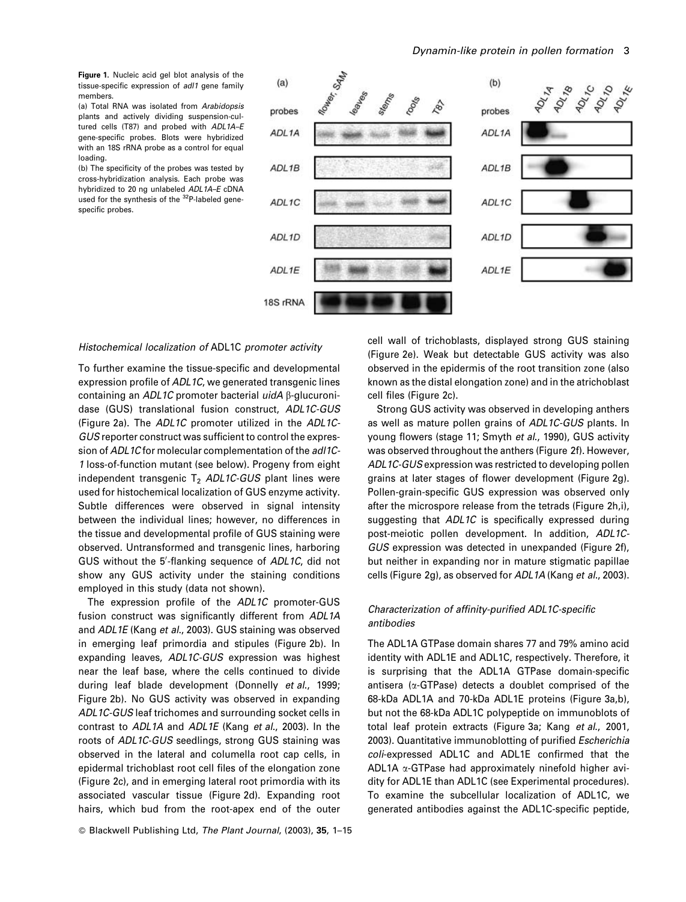Figure 1. Nucleic acid gel blot analysis of the tissue-specific expression of adl1 gene family members.

(a) Total RNA was isolated from Arabidopsis plants and actively dividing suspension-cultured cells (T87) and probed with ADL1A-E gene-specific probes. Blots were hybridized with an 18S rRNA probe as a control for equal loading.

(b) The specificity of the probes was tested by cross-hybridization analysis. Each probe was hybridized to 20 ng unlabeled ADL1A-E cDNA used for the synthesis of the <sup>32</sup>P-labeled genespecific probes.



#### Histochemical localization of ADL1C promoter activity

To further examine the tissue-specific and developmental expression profile of ADL1C, we generated transgenic lines containing an ADL1C promoter bacterial *uidA* β-glucuronidase (GUS) translational fusion construct, ADL1C-GUS (Figure 2a). The ADL1C promoter utilized in the ADL1C-GUS reporter construct was sufficient to control the expression of ADL1C for molecular complementation of the adl1C-1 loss-of-function mutant (see below). Progeny from eight independent transgenic T<sub>2</sub> ADL1C-GUS plant lines were used for histochemical localization of GUS enzyme activity. Subtle differences were observed in signal intensity between the individual lines; however, no differences in the tissue and developmental profile of GUS staining were observed. Untransformed and transgenic lines, harboring GUS without the 5'-flanking sequence of ADL1C, did not show any GUS activity under the staining conditions employed in this study (data not shown).

The expression profile of the ADL1C promoter-GUS fusion construct was significantly different from ADL1A and ADL1E (Kang et al., 2003). GUS staining was observed in emerging leaf primordia and stipules (Figure 2b). In expanding leaves, ADL1C-GUS expression was highest near the leaf base, where the cells continued to divide during leaf blade development (Donnelly et al., 1999; Figure 2b). No GUS activity was observed in expanding ADL1C-GUS leaf trichomes and surrounding socket cells in contrast to ADL1A and ADL1E (Kang et al., 2003). In the roots of ADL1C-GUS seedlings, strong GUS staining was observed in the lateral and columella root cap cells, in epidermal trichoblast root cell files of the elongation zone (Figure 2c), and in emerging lateral root primordia with its associated vascular tissue (Figure 2d). Expanding root hairs, which bud from the root-apex end of the outer

© Blackwell Publishing Ltd, The Plant Journal, (2003), 35, 1-15

cell wall of trichoblasts, displayed strong GUS staining (Figure 2e). Weak but detectable GUS activity was also observed in the epidermis of the root transition zone (also known as the distal elongation zone) and in the atrichoblast cell files (Figure 2c).

Strong GUS activity was observed in developing anthers as well as mature pollen grains of ADL1C-GUS plants. In young flowers (stage 11; Smyth et al., 1990), GUS activity was observed throughout the anthers (Figure 2f). However, ADL1C-GUS expression was restricted to developing pollen grains at later stages of flower development (Figure 2g). Pollen-grain-specific GUS expression was observed only after the microspore release from the tetrads (Figure 2h,i), suggesting that ADL1C is specifically expressed during post-meiotic pollen development. In addition, ADL1C-GUS expression was detected in unexpanded (Figure 2f). but neither in expanding nor in mature stigmatic papillae cells (Figure 2g), as observed for ADL1A (Kang et al., 2003).

# Characterization of affinity-purified ADL1C-specific antibodies

The ADL1A GTPase domain shares 77 and 79% amino acid identity with ADL1E and ADL1C, respectively. Therefore, it is surprising that the ADL1A GTPase domain-specific antisera ( $\alpha$ -GTPase) detects a doublet comprised of the 68-kDa ADL1A and 70-kDa ADL1E proteins (Figure 3a,b), but not the 68-kDa ADL1C polypeptide on immunoblots of total leaf protein extracts (Figure 3a; Kang et al., 2001, 2003). Quantitative immunoblotting of purified Escherichia coli-expressed ADL1C and ADL1E confirmed that the ADL1A α-GTPase had approximately ninefold higher avidity for ADL1E than ADL1C (see Experimental procedures). To examine the subcellular localization of ADL1C, we generated antibodies against the ADL1C-specific peptide,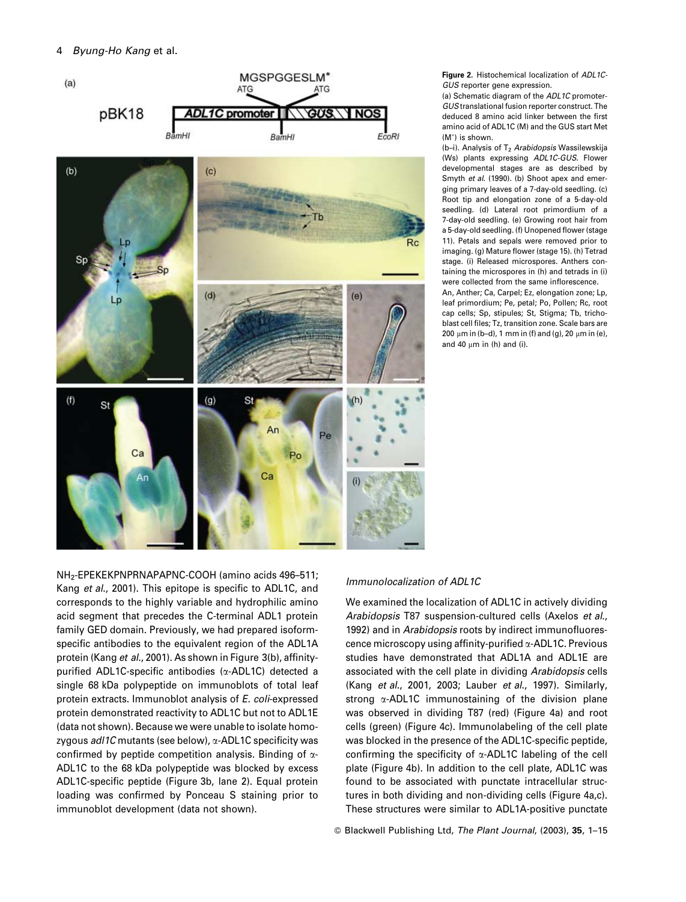#### $\overline{4}$ Byung-Ho Kang et al.



Figure 2. Histochemical localization of ADL1C-GUS reporter gene expression.

(a) Schematic diagram of the ADL1C promoter-GUS translational fusion reporter construct. The deduced 8 amino acid linker between the first amino acid of ADL1C (M) and the GUS start Met (M<sup>\*</sup>) is shown.

(b-i). Analysis of T<sub>2</sub> Arabidopsis Wassilewskija (Ws) plants expressing ADL1C-GUS. Flower developmental stages are as described by Smyth et al. (1990). (b) Shoot apex and emerging primary leaves of a 7-day-old seedling. (c) Root tip and elongation zone of a 5-day-old seedling. (d) Lateral root primordium of a 7-day-old seedling. (e) Growing root hair from a 5-day-old seedling. (f) Unopened flower (stage 11). Petals and sepals were removed prior to imaging. (g) Mature flower (stage 15). (h) Tetrad stage. (i) Released microspores. Anthers containing the microspores in (b) and tetrads in (i) were collected from the same inflorescence. An, Anther; Ca, Carpel; Ez, elongation zone; Lp,

leaf primordium; Pe, petal; Po, Pollen; Rc, root cap cells; Sp, stipules; St, Stigma; Tb, trichoblast cell files: Tz, transition zone. Scale bars are 200 μm in (b-d), 1 mm in (f) and (g), 20 μm in (e), and 40  $\mu$ m in (h) and (i).

NH<sub>2</sub>-EPEKEKPNPRNAPAPNC-COOH (amino acids 496-511; Kang et al., 2001). This epitope is specific to ADL1C, and corresponds to the highly variable and hydrophilic amino acid seament that precedes the C-terminal ADL1 protein family GED domain. Previously, we had prepared isoformspecific antibodies to the equivalent region of the ADL1A protein (Kang et al., 2001). As shown in Figure 3(b), affinitypurified ADL1C-specific antibodies (x-ADL1C) detected a single 68 kDa polypeptide on immunoblots of total leaf protein extracts. Immunoblot analysis of E. coli-expressed protein demonstrated reactivity to ADL1C but not to ADL1E (data not shown). Because we were unable to isolate homozygous adl1C mutants (see below), α-ADL1C specificity was confirmed by peptide competition analysis. Binding of  $\alpha$ -ADL1C to the 68 kDa polypeptide was blocked by excess ADL1C-specific peptide (Figure 3b, lane 2). Equal protein loading was confirmed by Ponceau S staining prior to immunoblot development (data not shown).

# Immunolocalization of ADL1C

We examined the localization of ADL1C in actively dividing Arabidopsis T87 suspension-cultured cells (Axelos et al., 1992) and in Arabidopsis roots by indirect immunofluorescence microscopy using affinity-purified x-ADL1C. Previous studies have demonstrated that ADL1A and ADL1E are associated with the cell plate in dividing Arabidopsis cells (Kang et al., 2001, 2003; Lauber et al., 1997). Similarly, strong  $\alpha$ -ADL1C immunostaining of the division plane was observed in dividing T87 (red) (Figure 4a) and root cells (green) (Figure 4c), Immunolabeling of the cell plate was blocked in the presence of the ADL1C-specific peptide, confirming the specificity of  $\alpha$ -ADL1C labeling of the cell plate (Figure 4b). In addition to the cell plate, ADL1C was found to be associated with punctate intracellular structures in both dividing and non-dividing cells (Figure 4a,c). These structures were similar to ADL1A-positive punctate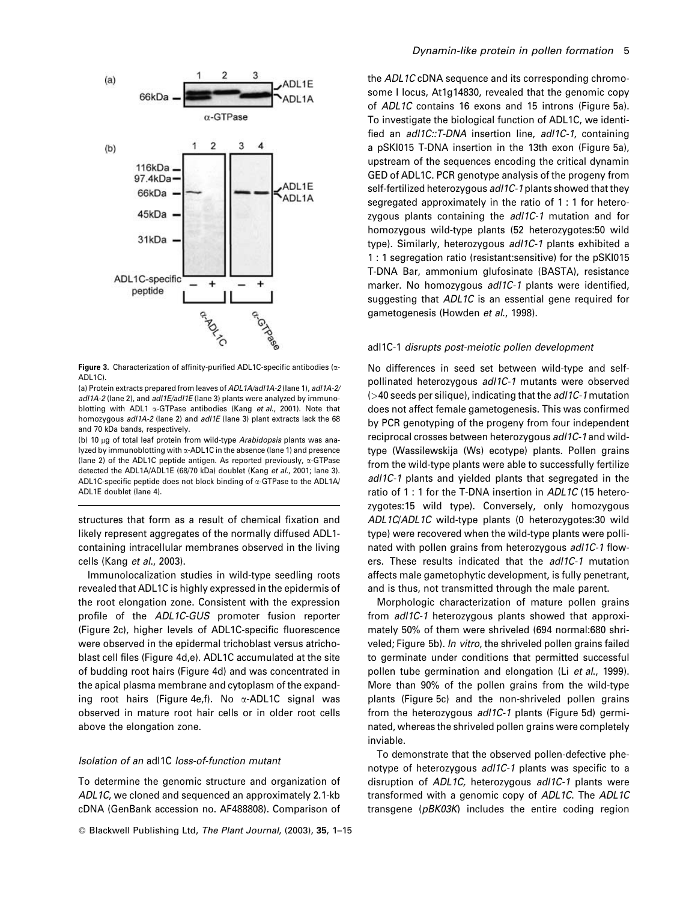

Figure 3. Characterization of affinity-purified ADL1C-specific antibodies (a-ADL1C).

(a) Protein extracts prepared from leaves of ADL1A/adl1A-2 (lane 1), adl1A-2/ adl1A-2 (lane 2), and adl1E/adl1E (lane 3) plants were analyzed by immunoblotting with ADL1  $\alpha$ -GTPase antibodies (Kang et al., 2001). Note that homozygous adl1A-2 (lane 2) and adl1E (lane 3) plant extracts lack the 68 and 70 kDa bands, respectively.

(b) 10 µg of total leaf protein from wild-type Arabidopsis plants was analyzed by immunoblotting with α-ADL1C in the absence (lane 1) and presence (lane 2) of the ADL1C peptide antigen. As reported previously,  $\alpha$ -GTPase detected the ADL1A/ADL1E (68/70 kDa) doublet (Kang et al., 2001; lane 3). ADL1C-specific peptide does not block binding of a-GTPase to the ADL1A/ ADL1E doublet (lane 4).

structures that form as a result of chemical fixation and likely represent aggregates of the normally diffused ADL1containing intracellular membranes observed in the living cells (Kang et al., 2003).

Immunolocalization studies in wild-type seedling roots revealed that ADL1C is highly expressed in the epidermis of the root elongation zone. Consistent with the expression profile of the ADL1C-GUS promoter fusion reporter (Figure 2c), higher levels of ADL1C-specific fluorescence were observed in the epidermal trichoblast versus atrichoblast cell files (Figure 4d,e). ADL1C accumulated at the site of budding root hairs (Figure 4d) and was concentrated in the apical plasma membrane and cytoplasm of the expanding root hairs (Figure 4e,f). No  $\alpha$ -ADL1C signal was observed in mature root hair cells or in older root cells above the elongation zone.

# Isolation of an adl1C loss-of-function mutant

To determine the genomic structure and organization of ADL1C, we cloned and sequenced an approximately 2.1-kb cDNA (GenBank accession no. AF488808). Comparison of

© Blackwell Publishing Ltd, The Plant Journal, (2003), 35, 1-15

the ADL1C cDNA sequence and its corresponding chromosome I locus, At1g14830, revealed that the genomic copy of ADL1C contains 16 exons and 15 introns (Figure 5a). To investigate the biological function of ADL1C, we identified an adl1C::T-DNA insertion line, adl1C-1, containing a pSKI015 T-DNA insertion in the 13th exon (Figure 5a), upstream of the sequences encoding the critical dynamin GED of ADL1C. PCR genotype analysis of the progeny from self-fertilized heterozygous adl1C-1 plants showed that they segregated approximately in the ratio of 1:1 for heterozygous plants containing the adl1C-1 mutation and for homozygous wild-type plants (52 heterozygotes:50 wild type). Similarly, heterozygous adl1C-1 plants exhibited a 1 : 1 segregation ratio (resistant: sensitive) for the pSKI015 T-DNA Bar, ammonium glufosinate (BASTA), resistance marker. No homozygous adl1C-1 plants were identified, suggesting that ADL1C is an essential gene required for gametogenesis (Howden et al., 1998).

#### adl1C-1 disrupts post-meiotic pollen development

No differences in seed set between wild-type and selfpollinated heterozygous adl1C-1 mutants were observed  $($  >40 seeds per silique), indicating that the *adl1C-1* mutation does not affect female gametogenesis. This was confirmed by PCR genotyping of the progeny from four independent reciprocal crosses between heterozygous adl1C-1 and wildtype (Wassilewskija (Ws) ecotype) plants. Pollen grains from the wild-type plants were able to successfully fertilize adl1C-1 plants and yielded plants that segregated in the ratio of 1 : 1 for the T-DNA insertion in ADL1C (15 heterozygotes:15 wild type). Conversely, only homozygous ADL1C/ADL1C wild-type plants (0 heterozygotes:30 wild type) were recovered when the wild-type plants were pollinated with pollen grains from heterozygous adl1C-1 flowers. These results indicated that the adl1C-1 mutation affects male gametophytic development, is fully penetrant, and is thus, not transmitted through the male parent.

Morphologic characterization of mature pollen grains from adl1C-1 heterozygous plants showed that approximately 50% of them were shriveled (694 normal:680 shriveled; Figure 5b). In vitro, the shriveled pollen grains failed to germinate under conditions that permitted successful pollen tube germination and elongation (Li et al., 1999). More than 90% of the pollen grains from the wild-type plants (Figure 5c) and the non-shriveled pollen grains from the heterozygous adl1C-1 plants (Figure 5d) germinated, whereas the shriveled pollen grains were completely inviable.

To demonstrate that the observed pollen-defective phenotype of heterozygous adl1C-1 plants was specific to a disruption of ADL1C, heterozygous adl1C-1 plants were transformed with a genomic copy of ADL1C. The ADL1C transgene (pBK03K) includes the entire coding region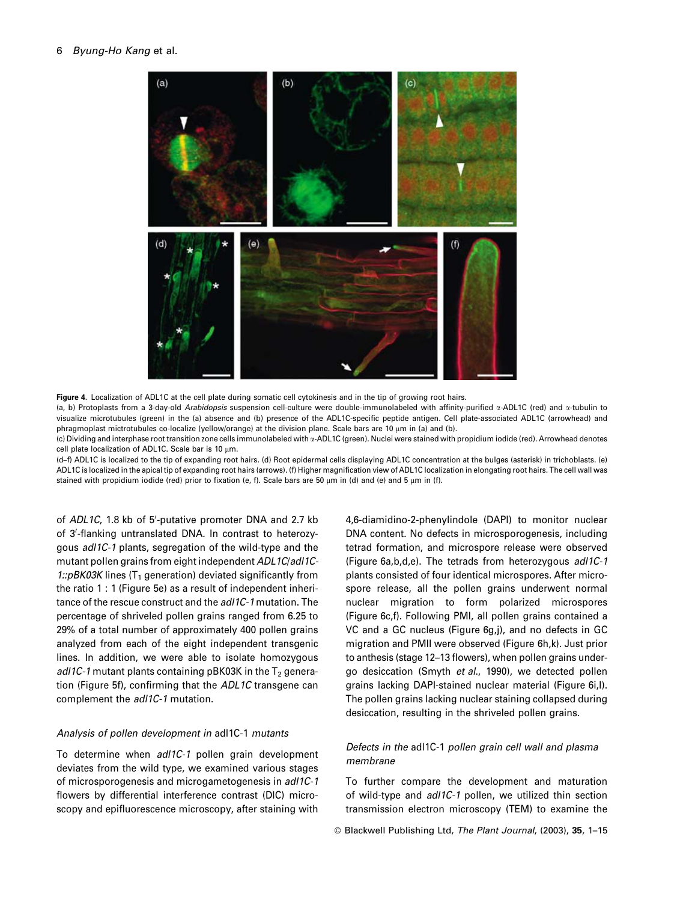#### 6 Byung-Ho Kang et al.



Figure 4. Localization of ADL1C at the cell plate during somatic cell cytokinesis and in the tip of growing root hairs. (a, b) Protoplasts from a 3-day-old Arabidopsis suspension cell-culture were double-immunolabeled with affinity-purified x-ADL1C (red) and x-tubulin to visualize microtubules (green) in the (a) absence and (b) presence of the ADL1C-specific peptide antigen. Cell plate-associated ADL1C (arrowhead) and phragmoplast mictrotubules co-localize (yellow/orange) at the division plane. Scale bars are 10 µm in (a) and (b).

(c) Dividing and interphase root transition zone cells immunolabeled with x-ADL1C (green). Nuclei were stained with propidium iodide (red). Arrowhead denotes cell plate localization of ADL1C. Scale bar is 10 µm.

(d-f) ADL1C is localized to the tip of expanding root hairs. (d) Root epidermal cells displaying ADL1C concentration at the bulges (asterisk) in trichoblasts. (e) ADL1C is localized in the apical tip of expanding root hairs (arrows). (f) Higher magnification view of ADL1C localization in elongating root hairs. The cell wall was stained with propidium iodide (red) prior to fixation (e, f). Scale bars are 50 µm in (d) and (e) and 5 µm in (f).

of ADL1C, 1.8 kb of 5'-putative promoter DNA and 2.7 kb of 3'-flanking untranslated DNA. In contrast to heterozygous adl1C-1 plants, segregation of the wild-type and the mutant pollen grains from eight independent ADL1C/adl1C-1::pBK03K lines (T<sub>1</sub> generation) deviated significantly from the ratio 1 : 1 (Figure 5e) as a result of independent inheritance of the rescue construct and the adl1C-1 mutation. The percentage of shriveled pollen grains ranged from 6.25 to 29% of a total number of approximately 400 pollen grains analyzed from each of the eight independent transgenic lines. In addition, we were able to isolate homozygous adl1C-1 mutant plants containing pBK03K in the  $T_2$  generation (Figure 5f), confirming that the ADL1C transgene can complement the adl1C-1 mutation.

# Analysis of pollen development in adl1C-1 mutants

To determine when adl1C-1 pollen grain development deviates from the wild type, we examined various stages of microsporogenesis and microgametogenesis in adl1C-1 flowers by differential interference contrast (DIC) microscopy and epifluorescence microscopy, after staining with 4,6-diamidino-2-phenylindole (DAPI) to monitor nuclear DNA content. No defects in microsporogenesis, including tetrad formation, and microspore release were observed (Figure 6a,b,d,e). The tetrads from heterozygous adl1C-1 plants consisted of four identical microspores. After microspore release, all the pollen grains underwent normal nuclear migration to form polarized microspores (Figure 6c,f). Following PMI, all pollen grains contained a VC and a GC nucleus (Figure 6g,j), and no defects in GC migration and PMII were observed (Figure 6h,k). Just prior to anthesis (stage 12-13 flowers), when pollen grains undergo desiccation (Smyth et al., 1990), we detected pollen grains lacking DAPI-stained nuclear material (Figure 6i,l). The pollen grains lacking nuclear staining collapsed during desiccation, resulting in the shriveled pollen grains.

# Defects in the adl1C-1 pollen grain cell wall and plasma membrane

To further compare the development and maturation of wild-type and adl1C-1 pollen, we utilized thin section transmission electron microscopy (TEM) to examine the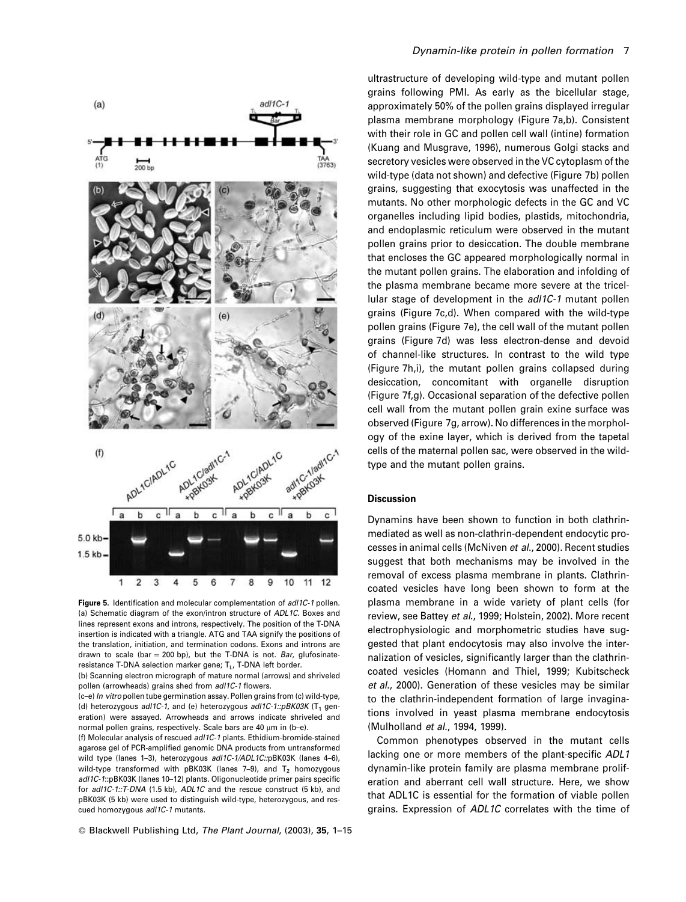

Figure 5. Identification and molecular complementation of adl1C-1 pollen. (a) Schematic diagram of the exon/intron structure of ADL1C. Boxes and lines represent exons and introns, respectively. The position of the T-DNA insertion is indicated with a triangle. ATG and TAA signify the positions of the translation, initiation, and termination codons. Exons and introns are drawn to scale (bar = 200 bp), but the T-DNA is not. Bar, glufosinateresistance T-DNA selection marker gene; T<sub>1</sub>, T-DNA left border.

(b) Scanning electron micrograph of mature normal (arrows) and shriveled pollen (arrowheads) grains shed from adl1C-1 flowers.

(c-e) In vitro pollen tube germination assay. Pollen grains from (c) wild-type, (d) heterozygous adl1C-1, and (e) heterozygous adl1C-1::pBK03K ( $T_1$  generation) were assayed. Arrowheads and arrows indicate shriveled and normal pollen grains, respectively. Scale hars are 40 um in (b-e).

(f) Molecular analysis of rescued adl1C-1 plants. Ethidium-bromide-stained agarose gel of PCR-amplified genomic DNA products from untransformed wild type (lanes 1-3), heterozygous adl1C-1/ADL1C::pBK03K (lanes 4-6), wild-type transformed with pBK03K (lanes 7-9), and  $T_2$  homozygous ad/1C-1:: pBK03K (lanes 10-12) plants. Oligonucleotide primer pairs specific for adl1C-1::T-DNA (1.5 kb), ADL1C and the rescue construct (5 kb), and pBK03K (5 kb) were used to distinguish wild-type, heterozygous, and rescued homozygous adl1C-1 mutants.

# Dynamin-like protein in pollen formation 7

ultrastructure of developing wild-type and mutant pollen grains following PMI. As early as the bicellular stage, approximately 50% of the pollen grains displayed irregular plasma membrane morphology (Figure 7a,b). Consistent with their role in GC and pollen cell wall (intine) formation (Kuang and Musgrave, 1996), numerous Golgi stacks and secretory vesicles were observed in the VC cytoplasm of the wild-type (data not shown) and defective (Figure 7b) pollen grains, suggesting that exocytosis was unaffected in the mutants. No other morphologic defects in the GC and VC organelles including lipid bodies, plastids, mitochondria, and endoplasmic reticulum were observed in the mutant pollen grains prior to desiccation. The double membrane that encloses the GC appeared morphologically normal in the mutant pollen grains. The elaboration and infolding of the plasma membrane became more severe at the tricellular stage of development in the adl1C-1 mutant pollen grains (Figure 7c,d). When compared with the wild-type pollen grains (Figure 7e), the cell wall of the mutant pollen grains (Figure 7d) was less electron-dense and devoid of channel-like structures. In contrast to the wild type (Figure 7h,i), the mutant pollen grains collapsed during desiccation, concomitant with organelle disruption (Figure 7f,g). Occasional separation of the defective pollen cell wall from the mutant pollen grain exine surface was observed (Figure 7g, arrow). No differences in the morphology of the exine layer, which is derived from the tapetal cells of the maternal pollen sac, were observed in the wildtype and the mutant pollen grains.

# **Discussion**

Dynamins have been shown to function in both clathrinmediated as well as non-clathrin-dependent endocytic processes in animal cells (McNiven et al., 2000). Recent studies suggest that both mechanisms may be involved in the removal of excess plasma membrane in plants. Clathrincoated vesicles have long been shown to form at the plasma membrane in a wide variety of plant cells (for review. see Battev et al., 1999; Holstein, 2002). More recent electrophysiologic and morphometric studies have suggested that plant endocytosis may also involve the internalization of vesicles, significantly larger than the clathrincoated vesicles (Homann and Thiel, 1999; Kubitscheck et al., 2000). Generation of these vesicles may be similar to the clathrin-independent formation of large invaginations involved in yeast plasma membrane endocytosis (Mulholland et al., 1994, 1999).

Common phenotypes observed in the mutant cells lacking one or more members of the plant-specific ADL1 dynamin-like protein family are plasma membrane proliferation and aberrant cell wall structure. Here, we show that ADL1C is essential for the formation of viable pollen grains. Expression of ADL1C correlates with the time of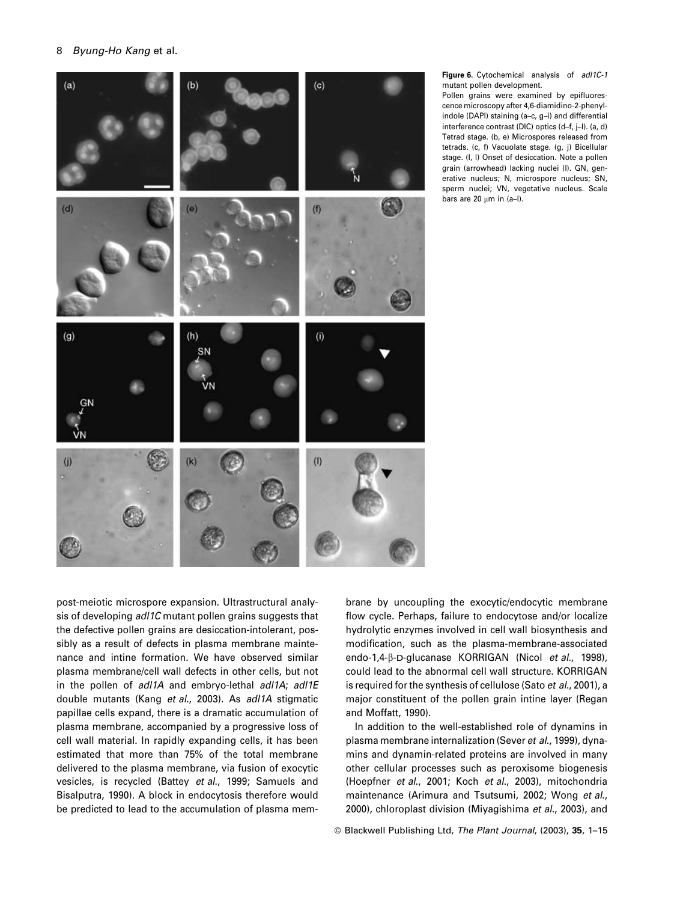

Figure 6. Cytochemical analysis of adl1C-1 mutant pollen development.

Pollen grains were examined by epifluorescence microscopy after 4,6-diamidino-2-phenylindole (DAPI) staining (a-c, g-i) and differential interference contrast (DIC) optics (d-f, j-l). (a, d) Tetrad stage. (b, e) Microspores released from tetrads. (c, f) Vacuolate stage. (g, j) Bicellular stage. (I, I) Onset of desiccation. Note a pollen grain (arrowhead) lacking nuclei (I). GN, generative nucleus: N. microspore nucleus: SN. sperm nuclei; VN, vegetative nucleus. Scale bars are 20  $\mu$ m in (a-I).

post-meiotic microspore expansion. Ultrastructural analysis of developing adl1C mutant pollen grains suggests that the defective pollen grains are desiccation-intolerant, possibly as a result of defects in plasma membrane maintenance and intine formation. We have observed similar plasma membrane/cell wall defects in other cells, but not in the pollen of adl1A and embryo-lethal adl1A; adl1E double mutants (Kang et al., 2003). As adl1A stigmatic papillae cells expand, there is a dramatic accumulation of plasma membrane, accompanied by a progressive loss of cell wall material. In rapidly expanding cells, it has been estimated that more than 75% of the total membrane delivered to the plasma membrane, via fusion of exocytic vesicles, is recycled (Battey et al., 1999; Samuels and Bisalputra, 1990). A block in endocytosis therefore would be predicted to lead to the accumulation of plasma membrane by uncoupling the exocytic/endocytic membrane flow cycle. Perhaps, failure to endocytose and/or localize hydrolytic enzymes involved in cell wall biosynthesis and modification, such as the plasma-membrane-associated endo-1,4-β-D-glucanase KORRIGAN (Nicol et al., 1998), could lead to the abnormal cell wall structure. KORRIGAN is required for the synthesis of cellulose (Sato et al., 2001), a major constituent of the pollen grain intine layer (Regan and Moffatt, 1990).

In addition to the well-established role of dynamins in plasma membrane internalization (Sever et al., 1999), dynamins and dynamin-related proteins are involved in many other cellular processes such as peroxisome biogenesis (Hoepfner et al., 2001; Koch et al., 2003), mitochondria maintenance (Arimura and Tsutsumi, 2002; Wong et al., 2000), chloroplast division (Miyagishima et al., 2003), and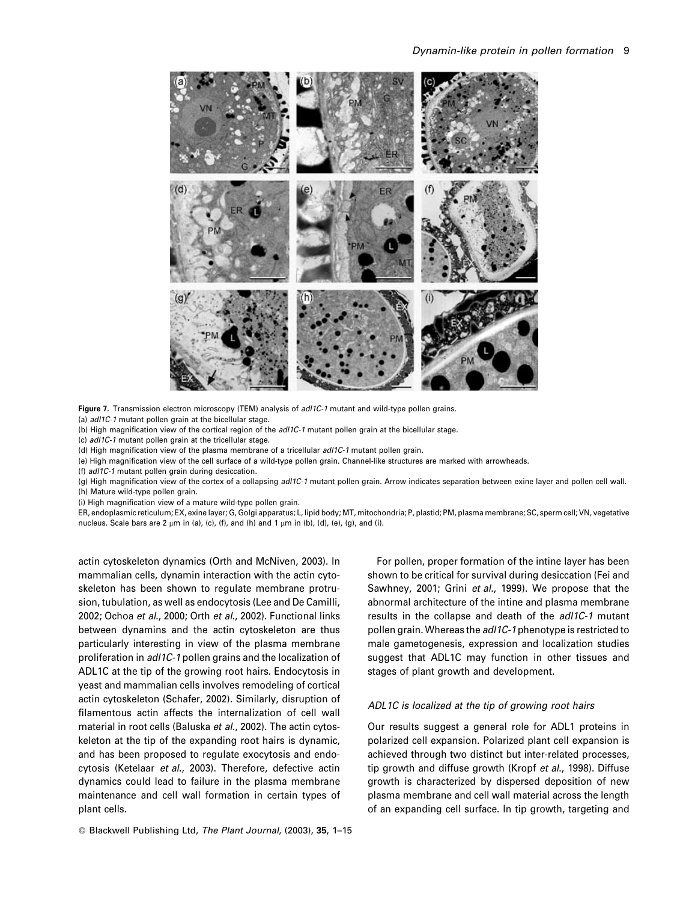

Figure 7. Transmission electron microscopy (TEM) analysis of adl1C-1 mutant and wild-type pollen grains.

(a) adl1C-1 mutant pollen grain at the bicellular stage.

(b) High magnification view of the cortical region of the adl1C-1 mutant pollen grain at the bicellular stage.

(c) adl1C-1 mutant pollen grain at the tricellular stage.

(d) High magnification view of the plasma membrane of a tricellular adl1C-1 mutant pollen grain.

(e) High magnification view of the cell surface of a wild-type pollen grain. Channel-like structures are marked with arrowheads.

(f) adl1C-1 mutant pollen grain during desiccation.

(g) High magnification view of the cortex of a collapsing adl1C-1 mutant pollen grain. Arrow indicates separation between exine layer and pollen cell wall. (h) Mature wild-type pollen grain.

(i) High magnification view of a mature wild-type pollen grain.

ER, endoplasmic reticulum; EX, exine layer; G, Golgi apparatus; L, lipid body; MT, mitochondria; P, plastid; PM, plasma membrane; SC, sperm cell; VN, vegetative nucleus. Scale bars are 2 μm in (a), (c), (f), and (h) and 1 μm in (b), (d), (e), (g), and (i).

actin cytoskeleton dynamics (Orth and McNiven, 2003). In mammalian cells, dynamin interaction with the actin cytoskeleton has been shown to regulate membrane protrusion, tubulation, as well as endocytosis (Lee and De Camilli, 2002; Ochoa et al., 2000; Orth et al., 2002). Functional links between dynamins and the actin cytoskeleton are thus particularly interesting in view of the plasma membrane proliferation in adl1C-1 pollen grains and the localization of ADL1C at the tip of the growing root hairs. Endocytosis in yeast and mammalian cells involves remodeling of cortical actin cytoskeleton (Schafer, 2002). Similarly, disruption of filamentous actin affects the internalization of cell wall material in root cells (Baluska et al., 2002). The actin cytoskeleton at the tip of the expanding root hairs is dynamic, and has been proposed to regulate exocytosis and endocytosis (Ketelaar et al., 2003). Therefore, defective actin dynamics could lead to failure in the plasma membrane maintenance and cell wall formation in certain types of plant cells.

For pollen, proper formation of the intine layer has been shown to be critical for survival during desiccation (Fei and Sawhney, 2001; Grini et al., 1999). We propose that the abnormal architecture of the intine and plasma membrane results in the collapse and death of the adl1C-1 mutant pollen grain. Whereas the adl1C-1 phenotype is restricted to male gametogenesis, expression and localization studies suggest that ADL1C may function in other tissues and stages of plant growth and development.

# ADL1C is localized at the tip of growing root hairs

Our results suggest a general role for ADL1 proteins in polarized cell expansion. Polarized plant cell expansion is achieved through two distinct but inter-related processes, tip growth and diffuse growth (Kropf et al., 1998). Diffuse growth is characterized by dispersed deposition of new plasma membrane and cell wall material across the length of an expanding cell surface. In tip growth, targeting and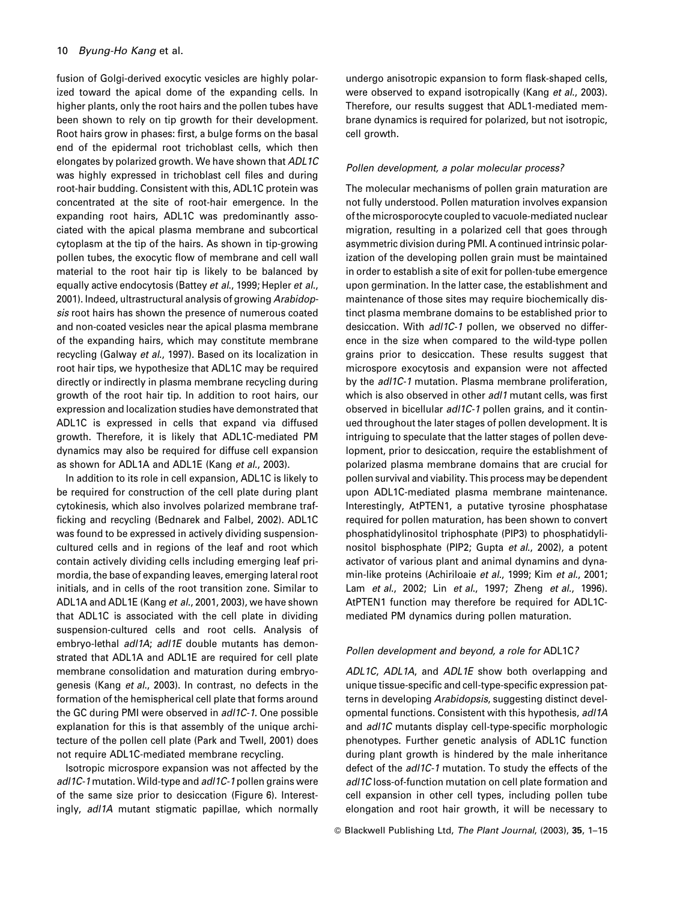fusion of Golgi-derived exocytic vesicles are highly polarized toward the apical dome of the expanding cells. In higher plants, only the root hairs and the pollen tubes have been shown to rely on tip growth for their development. Root hairs grow in phases: first, a bulge forms on the basal end of the epidermal root trichoblast cells, which then elongates by polarized growth. We have shown that ADL1C was highly expressed in trichoblast cell files and during root-hair budding. Consistent with this, ADL1C protein was concentrated at the site of root-hair emergence. In the expanding root hairs, ADL1C was predominantly associated with the apical plasma membrane and subcortical cytoplasm at the tip of the hairs. As shown in tip-growing pollen tubes, the exocytic flow of membrane and cell wall material to the root hair tip is likely to be balanced by equally active endocytosis (Battey et al., 1999; Hepler et al., 2001). Indeed, ultrastructural analysis of growing Arabidopsis root hairs has shown the presence of numerous coated and non-coated vesicles near the apical plasma membrane of the expanding hairs, which may constitute membrane recycling (Galway et al., 1997). Based on its localization in root hair tips, we hypothesize that ADL1C may be required directly or indirectly in plasma membrane recycling during growth of the root hair tip. In addition to root hairs, our expression and localization studies have demonstrated that ADL1C is expressed in cells that expand via diffused growth. Therefore, it is likely that ADL1C-mediated PM dynamics may also be required for diffuse cell expansion as shown for ADL1A and ADL1E (Kang et al., 2003).

In addition to its role in cell expansion, ADL1C is likely to be required for construction of the cell plate during plant cytokinesis, which also involves polarized membrane trafficking and recycling (Bednarek and Falbel, 2002). ADL1C was found to be expressed in actively dividing suspensioncultured cells and in regions of the leaf and root which contain actively dividing cells including emerging leaf primordia, the base of expanding leaves, emerging lateral root initials, and in cells of the root transition zone. Similar to ADL1A and ADL1E (Kang et al., 2001, 2003), we have shown that ADL1C is associated with the cell plate in dividing suspension-cultured cells and root cells. Analysis of embryo-lethal adl1A; adl1E double mutants has demonstrated that ADL1A and ADL1E are required for cell plate membrane consolidation and maturation during embryogenesis (Kang et al., 2003). In contrast, no defects in the formation of the hemispherical cell plate that forms around the GC during PMI were observed in adl1C-1. One possible explanation for this is that assembly of the unique architecture of the pollen cell plate (Park and Twell, 2001) does not require ADL1C-mediated membrane recycling.

Isotropic microspore expansion was not affected by the adl1C-1 mutation. Wild-type and adl1C-1 pollen grains were of the same size prior to desiccation (Figure 6). Interestingly, adl1A mutant stigmatic papillae, which normally undergo anisotropic expansion to form flask-shaped cells, were observed to expand isotropically (Kang et al., 2003). Therefore, our results suggest that ADL1-mediated membrane dynamics is required for polarized, but not isotropic, cell growth.

## Pollen development, a polar molecular process?

The molecular mechanisms of pollen grain maturation are not fully understood. Pollen maturation involves expansion of the microsporocyte coupled to vacuole-mediated nuclear migration, resulting in a polarized cell that goes through asymmetric division during PMI. A continued intrinsic polarization of the developing pollen grain must be maintained in order to establish a site of exit for pollen-tube emergence upon germination. In the latter case, the establishment and maintenance of those sites may require biochemically distinct plasma membrane domains to be established prior to desiccation. With adl1C-1 pollen, we observed no difference in the size when compared to the wild-type pollen grains prior to desiccation. These results suggest that microspore exocytosis and expansion were not affected by the *adl1C-1* mutation. Plasma membrane proliferation. which is also observed in other adl1 mutant cells, was first observed in bicellular adl1C-1 pollen grains, and it continued throughout the later stages of pollen development. It is intriguing to speculate that the latter stages of pollen development, prior to desiccation, require the establishment of polarized plasma membrane domains that are crucial for pollen survival and viability. This process may be dependent upon ADL1C-mediated plasma membrane maintenance. Interestingly, AtPTEN1, a putative tyrosine phosphatase required for pollen maturation, has been shown to convert phosphatidylinositol triphosphate (PIP3) to phosphatidylinositol bisphosphate (PIP2; Gupta et al., 2002), a potent activator of various plant and animal dynamins and dynamin-like proteins (Achiriloaie et al., 1999; Kim et al., 2001; Lam et al., 2002; Lin et al., 1997; Zheng et al., 1996). AtPTEN1 function may therefore be required for ADL1Cmediated PM dynamics during pollen maturation.

## Pollen development and beyond, a role for ADL1C?

ADL1C, ADL1A, and ADL1E show both overlapping and unique tissue-specific and cell-type-specific expression patterns in developing Arabidopsis, suggesting distinct developmental functions. Consistent with this hypothesis, adl1A and adl1C mutants display cell-type-specific morphologic phenotypes. Further genetic analysis of ADL1C function during plant growth is hindered by the male inheritance defect of the adl1C-1 mutation. To study the effects of the adl1C loss-of-function mutation on cell plate formation and cell expansion in other cell types, including pollen tube elongation and root hair growth, it will be necessary to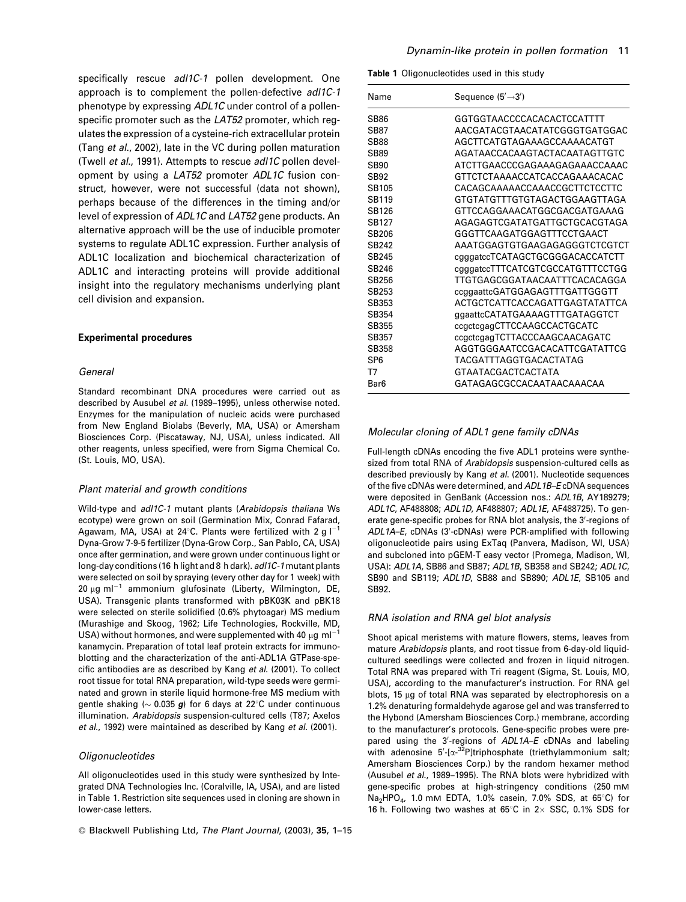specifically rescue adl1C-1 pollen development. One approach is to complement the pollen-defective adl1C-1 phenotype by expressing ADL1C under control of a pollenspecific promoter such as the LAT52 promoter, which regulates the expression of a cysteine-rich extracellular protein (Tang et al., 2002), late in the VC during pollen maturation (Twell et al., 1991). Attempts to rescue adl1C pollen development by using a LAT52 promoter ADL1C fusion construct, however, were not successful (data not shown), perhaps because of the differences in the timing and/or level of expression of ADL1C and LAT52 gene products. An alternative approach will be the use of inducible promoter systems to regulate ADL1C expression. Further analysis of ADL1C localization and biochemical characterization of ADL1C and interacting proteins will provide additional insight into the regulatory mechanisms underlying plant cell division and expansion.

# **Experimental procedures**

#### General

Standard recombinant DNA procedures were carried out as described by Ausubel et al. (1989-1995), unless otherwise noted. Enzymes for the manipulation of nucleic acids were purchased from New England Biolabs (Beverly, MA, USA) or Amersham Biosciences Corp. (Piscataway, NJ, USA), unless indicated. All other reagents, unless specified, were from Sigma Chemical Co. (St. Louis, MO, USA).

#### Plant material and growth conditions

Wild-type and adl1C-1 mutant plants (Arabidopsis thaliana Ws ecotype) were grown on soil (Germination Mix, Conrad Fafarad, Agawam, MA, USA) at 24°C. Plants were fertilized with 2 g  $I^{-1}$ Dyna-Grow 7-9-5 fertilizer (Dyna-Grow Corp., San Pablo, CA, USA) once after germination, and were grown under continuous light or long-day conditions (16 h light and 8 h dark), adl1C-1 mutant plants were selected on soil by spraying (every other day for 1 week) with 20  $\mu$ g ml<sup>-1</sup> ammonium glufosinate (Liberty, Wilmington, DE, USA). Transgenic plants transformed with pBK03K and pBK18 were selected on sterile solidified (0.6% phytoagar) MS medium (Murashige and Skoog, 1962; Life Technologies, Rockville, MD, USA) without hormones, and were supplemented with 40  $\mu$ g ml<sup>-1</sup> kanamycin. Preparation of total leaf protein extracts for immunoblotting and the characterization of the anti-ADL1A GTPase-specific antibodies are as described by Kang et al. (2001). To collect root tissue for total RNA preparation, wild-type seeds were germinated and grown in sterile liquid hormone-free MS medium with gentle shaking ( $\sim$  0.035 g) for 6 days at 22°C under continuous illumination. Arabidopsis suspension-cultured cells (T87; Axelos et al., 1992) were maintained as described by Kang et al. (2001).

#### Oligonucleotides

All oligonucleotides used in this study were synthesized by Integrated DNA Technologies Inc. (Coralville, IA, USA), and are listed in Table 1. Restriction site sequences used in cloning are shown in lower-case letters.

Table 1 Oligonucleotides used in this study

| Name              | Sequence $(5' \rightarrow 3')$   |
|-------------------|----------------------------------|
| <b>SB86</b>       | GGTGGTAACCCCACACACTCCATTTT       |
| <b>SB87</b>       | AACGATACGTAACATATCGGGTGATGGAC    |
| SB88              | AGCTTCATGTAGAAAGCCAAAACATGT      |
| <b>SB89</b>       | AGATAACCACAAGTACTACAATAGTTGTC    |
| SB <sub>90</sub>  | ATCTTGAACCCGAGAAAGAGAAACCAAAC    |
| <b>SB92</b>       | GTTCTCTAAAACCATCACCAGAAACACAC    |
| SB105             | CACAGCAAAAACCAAACCGCTTCTCCTTC    |
| <b>SB119</b>      | GTGTATGTTTGTGTAGACTGGAAGTTAGA    |
| SB126             | GTTCCAGGAAACATGGCGACGATGAAAG     |
| SB127             | AGAGAGTCGATATGATTGCTGCACGTAGA    |
| SB <sub>206</sub> | GGGTTCAAGATGGAGTTTCCTGAACT       |
| SB <sub>242</sub> | AAATGGAGTGTGAAGAGAGGGTCTCGTCT    |
| SB245             | cgggatccTCATAGCTGCGGGACACCATCTT  |
| SB246             | cgggatccTTTCATCGTCGCCATGTTTCCTGG |
| SB256             | TTGTGAGCGGATAACAATTTCACACAGGA    |
| SB253             | ccggaattcGATGGAGAGTTTGATTGGGTT   |
| SB353             | ACTGCTCATTCACCAGATTGAGTATATTCA   |
| SB354             | ggaattcCATATGAAAAGTTTGATAGGTCT   |
| SB355             | ccgctcgagCTTCCAAGCCACTGCATC      |
| SB357             | ccgctcgagTCTTACCCAAGCAACAGATC    |
| SB358             | AGGTGGGAATCCGACACATTCGATATTCG    |
| SP <sub>6</sub>   | TACGATTTAGGTGACACTATAG           |
| T7                | <b>GTAATACGACTCACTATA</b>        |
| Bar <sub>6</sub>  | GATAGAGCGCCACAATAACAAACAA        |
|                   |                                  |

#### Molecular cloning of ADL1 gene family cDNAs

Full-length cDNAs encoding the five ADL1 proteins were synthesized from total RNA of Arabidopsis suspension-cultured cells as described previously by Kang et al. (2001). Nucleotide sequences of the five cDNAs were determined, and ADL1B-EcDNA sequences were deposited in GenBank (Accession nos.: ADL1B, AY189279; ADL1C, AF488808; ADL1D, AF488807; ADL1E, AF488725). To generate gene-specific probes for RNA blot analysis, the 3'-regions of ADL1A-E, cDNAs (3'-cDNAs) were PCR-amplified with following oligonucleotide pairs using ExTaq (Panvera, Madison, WI, USA) and subcloned into pGEM-T easy vector (Promega, Madison, WI, USA): ADL1A, SB86 and SB87; ADL1B, SB358 and SB242; ADL1C, SB90 and SB119; ADL1D, SB88 and SB890; ADL1E, SB105 and SB92.

#### RNA isolation and RNA gel blot analysis

Shoot apical meristems with mature flowers, stems, leaves from mature Arabidopsis plants, and root tissue from 6-day-old liquidcultured seedlings were collected and frozen in liquid nitrogen. Total RNA was prepared with Tri reagent (Sigma, St. Louis, MO, USA), according to the manufacturer's instruction. For RNA gel blots, 15 µg of total RNA was separated by electrophoresis on a 1.2% denaturing formaldehyde agarose gel and was transferred to the Hybond (Amersham Biosciences Corp.) membrane, according to the manufacturer's protocols. Gene-specific probes were prepared using the 3'-regions of ADL1A-E cDNAs and labeling with adenosine  $5'-[\alpha^{-32}P]$ triphosphate (triethylammonium salt; Amersham Biosciences Corp.) by the random hexamer method (Ausubel et al., 1989-1995). The RNA blots were hybridized with gene-specific probes at high-stringency conditions (250 mM Na<sub>2</sub>HPO<sub>4</sub>, 1.0 mM EDTA, 1.0% casein, 7.0% SDS, at 65°C) for 16 h. Following two washes at 65°C in  $2 \times$  SSC, 0.1% SDS for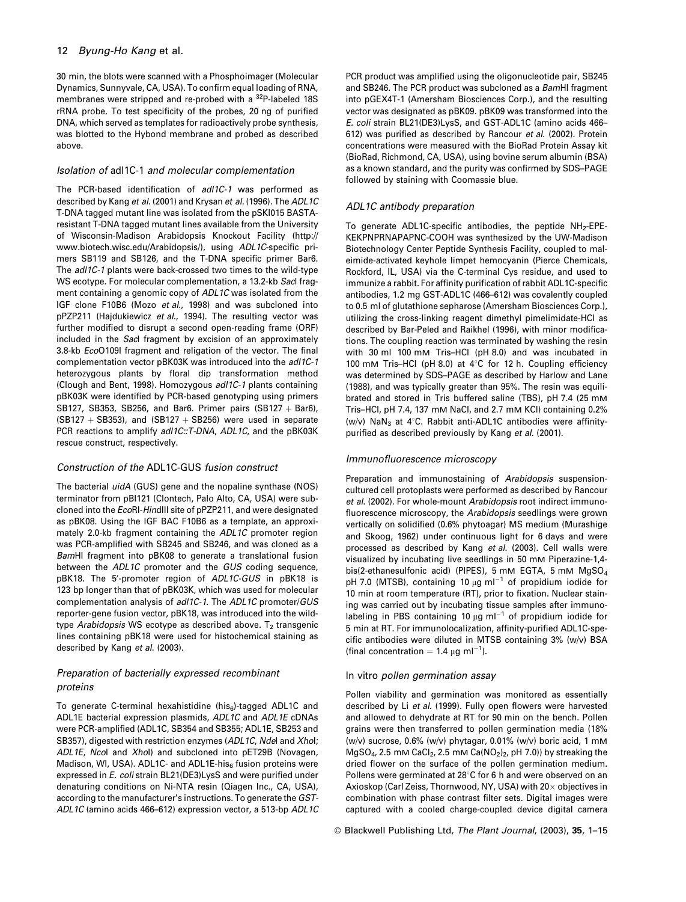30 min, the blots were scanned with a Phosphoimager (Molecular Dynamics, Sunnyvale, CA, USA). To confirm equal loading of RNA, membranes were stripped and re-probed with a <sup>32</sup>P-labeled 18S rRNA probe. To test specificity of the probes, 20 ng of purified DNA, which served as templates for radioactively probe synthesis, was blotted to the Hybond membrane and probed as described above.

# Isolation of adl1C-1 and molecular complementation

The PCR-based identification of adl1C-1 was performed as described by Kang et al. (2001) and Krysan et al. (1996). The ADL1C T-DNA tagged mutant line was isolated from the pSKI015 BASTAresistant T-DNA tagged mutant lines available from the University of Wisconsin-Madison Arabidopsis Knockout Facility (http:// www.biotech.wisc.edu/Arabidopsis/), using ADL1C-specific primers SB119 and SB126, and the T-DNA specific primer Bar6. The adl1C-1 plants were back-crossed two times to the wild-type WS ecotype. For molecular complementation, a 13.2-kb Sacl fragment containing a genomic copy of ADL1C was isolated from the IGF clone F10B6 (Mozo et al., 1998) and was subcloned into pPZP211 (Hajdukiewicz et al., 1994). The resulting vector was further modified to disrupt a second open-reading frame (ORF) included in the Sacl fragment by excision of an approximately 3.8-kb EcoO109I fragment and religation of the vector. The final complementation vector pBK03K was introduced into the adl1C-1 heterozygous plants by floral dip transformation method (Clough and Bent, 1998). Homozygous adl1C-1 plants containing pBK03K were identified by PCR-based genotyping using primers SB127, SB353, SB256, and Bar6. Primer pairs (SB127 + Bar6),  $(SB127 + SB353)$ , and  $(SB127 + SB256)$  were used in separate PCR reactions to amplify adl1C::T-DNA, ADL1C, and the pBK03K rescue construct, respectively.

# Construction of the ADL1C-GUS fusion construct

The bacterial uidA (GUS) gene and the nopaline synthase (NOS) terminator from pBI121 (Clontech, Palo Alto, CA, USA) were subcloned into the EcoRI-HindIII site of pPZP211, and were designated as pBK08. Using the IGF BAC F10B6 as a template, an approximately 2.0-kb fragment containing the ADL1C promoter region was PCR-amplified with SB245 and SB246, and was cloned as a BamHI fragment into pBK08 to generate a translational fusion between the ADL1C promoter and the GUS coding sequence, pBK18. The 5'-promoter region of ADL1C-GUS in pBK18 is 123 bp longer than that of pBK03K, which was used for molecular complementation analysis of adl1C-1. The ADL1C promoter/GUS reporter-gene fusion vector, pBK18, was introduced into the wildtype Arabidopsis WS ecotype as described above.  $T_2$  transgenic lines containing pBK18 were used for histochemical staining as described by Kang et al. (2003).

# Preparation of bacterially expressed recombinant proteins

To generate C-terminal hexahistidine (his<sub>6</sub>)-tagged ADL1C and ADL1E bacterial expression plasmids, ADL1C and ADL1E cDNAs were PCR-amplified (ADL1C, SB354 and SB355; ADL1E, SB253 and SB357), digested with restriction enzymes (ADL1C, Ndel and Xhol; ADL1E. Ncol and Xhol) and subcloned into pET29B (Novagen. Madison, WI, USA). ADL1C- and ADL1E-his<sub>6</sub> fusion proteins were expressed in E. coli strain BL21(DE3)LysS and were purified under denaturing conditions on Ni-NTA resin (Qiagen Inc., CA, USA), according to the manufacturer's instructions. To generate the GST-ADL1C (amino acids 466-612) expression vector, a 513-bp ADL1C PCR product was amplified using the oligonucleotide pair, SB245 and SB246. The PCR product was subcloned as a BamHI fragment into pGEX4T-1 (Amersham Biosciences Corp.), and the resulting vector was designated as pBK09. pBK09 was transformed into the E. coli strain BL21(DE3)LysS, and GST-ADL1C (amino acids 466-612) was purified as described by Rancour et al. (2002). Protein concentrations were measured with the BioRad Protein Assay kit (BioRad, Richmond, CA, USA), using bovine serum albumin (BSA) as a known standard, and the purity was confirmed by SDS-PAGE followed by staining with Coomassie blue.

# ADL1C antibody preparation

To generate ADL1C-specific antibodies, the peptide NH<sub>2</sub>-EPE-KEKPNPRNAPAPNC-COOH was synthesized by the UW-Madison Biotechnology Center Peptide Synthesis Facility, coupled to maleimide-activated keyhole limpet hemocyanin (Pierce Chemicals, Rockford, IL, USA) via the C-terminal Cys residue, and used to immunize a rabbit. For affinity purification of rabbit ADL1C-specific antibodies, 1.2 mg GST-ADL1C (466-612) was covalently coupled to 0.5 ml of glutathione sepharose (Amersham Biosciences Corp.), utilizing the cross-linking reagent dimethyl pimelimidate-HCl as described by Bar-Peled and Raikhel (1996), with minor modifications. The coupling reaction was terminated by washing the resin with 30 ml 100 mM Tris-HCl (pH 8.0) and was incubated in 100 mM Tris-HCl (pH 8.0) at 4°C for 12 h. Coupling efficiency was determined by SDS-PAGE as described by Harlow and Lane (1988), and was typically greater than 95%. The resin was equilibrated and stored in Tris buffered saline (TBS), pH 7.4 (25 mM Tris-HCl, pH 7.4, 137 mM NaCl, and 2.7 mM KCl) containing 0.2% (w/v) NaN<sub>3</sub> at 4°C. Rabbit anti-ADL1C antibodies were affinitypurified as described previously by Kang et al. (2001).

# Immunofluorescence microscopy

Preparation and immunostaining of Arabidopsis suspensioncultured cell protoplasts were performed as described by Rancour et al. (2002). For whole-mount Arabidopsis root indirect immunofluorescence microscopy, the Arabidopsis seedlings were grown vertically on solidified (0.6% phytoagar) MS medium (Murashige and Skoog, 1962) under continuous light for 6 days and were processed as described by Kang et al. (2003). Cell walls were visualized by incubating live seedlings in 50 mM Piperazine-1,4bis(2-ethanesulfonic acid) (PIPES), 5 mM EGTA, 5 mM MgSO<sub>4</sub> pH 7.0 (MTSB), containing 10  $\mu$ g ml<sup>-1</sup> of propidium iodide for 10 min at room temperature (RT), prior to fixation. Nuclear staining was carried out by incubating tissue samples after immunolabeling in PBS containing 10  $\mu$ g ml<sup>-1</sup> of propidium iodide for 5 min at RT. For immunolocalization, affinity-purified ADL1C-specific antibodies were diluted in MTSB containing 3% (w/v) BSA (final concentration =  $1.4 \mu g$  ml<sup>-1</sup>).

# In vitro pollen germination assay

Pollen viability and germination was monitored as essentially described by Li et al. (1999). Fully open flowers were harvested and allowed to dehydrate at RT for 90 min on the bench. Pollen grains were then transferred to pollen germination media (18% (w/v) sucrose, 0.6% (w/v) phytagar, 0.01% (w/v) boric acid, 1 mM MgSO<sub>4</sub>, 2.5 mM CaCl<sub>2</sub>, 2.5 mM Ca(NO<sub>2</sub>)<sub>2</sub>, pH 7.0)) by streaking the dried flower on the surface of the pollen germination medium. Pollens were germinated at 28°C for 6 h and were observed on an Axioskop (Carl Zeiss, Thornwood, NY, USA) with 20x objectives in combination with phase contrast filter sets. Digital images were captured with a cooled charge-coupled device digital camera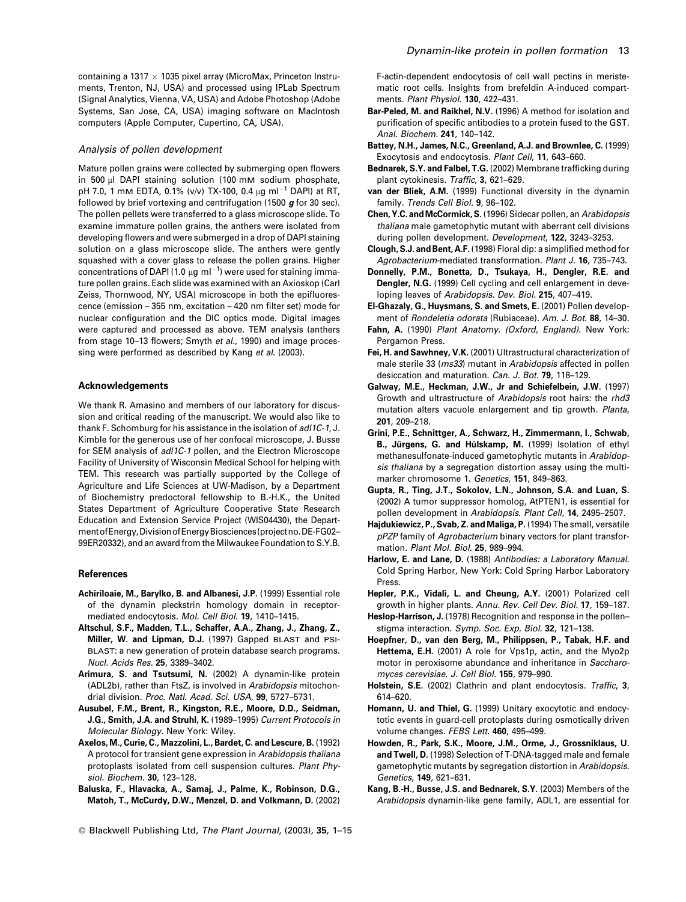containing a 1317  $\times$  1035 pixel array (MicroMax, Princeton Instruments, Trenton, NJ, USA) and processed using IPLab Spectrum (Signal Analytics, Vienna, VA, USA) and Adobe Photoshop (Adobe Systems, San Jose, CA, USA) imaging software on MacIntosh computers (Apple Computer, Cupertino, CA, USA).

#### Analysis of pollen development

Mature pollen grains were collected by submerging open flowers in 500 µl DAPI staining solution (100 mM sodium phosphate, pH 7.0, 1 mM EDTA, 0.1% (v/v) TX-100, 0.4 µg ml<sup>-1</sup> DAPI) at RT, followed by brief vortexing and centrifugation (1500  $g$  for 30 sec). The pollen pellets were transferred to a glass microscope slide. To examine immature pollen grains, the anthers were isolated from developing flowers and were submerged in a drop of DAPI staining solution on a glass microscope slide. The anthers were gently squashed with a cover glass to release the pollen grains. Higher concentrations of DAPI (1.0  $\mu$ g ml<sup>-1</sup>) were used for staining immature pollen grains. Each slide was examined with an Axioskop (Carl Zeiss. Thornwood. NY. USA) microscope in both the epifluorescence (emission - 355 nm, excitation - 420 nm filter set) mode for nuclear configuration and the DIC optics mode. Digital images were captured and processed as above. TEM analysis (anthers from stage 10-13 flowers; Smyth et al., 1990) and image processing were performed as described by Kang et al. (2003).

#### **Acknowledgements**

We thank R. Amasino and members of our laboratory for discussion and critical reading of the manuscript. We would also like to thank F. Schomburg for his assistance in the isolation of adl1C-1, J. Kimble for the generous use of her confocal microscope, J. Busse for SEM analysis of adl1C-1 pollen, and the Electron Microscope Facility of University of Wisconsin Medical School for helping with TEM. This research was partially supported by the College of Agriculture and Life Sciences at UW-Madison, by a Department of Biochemistry predoctoral fellowship to B.-H.K., the United States Department of Agriculture Cooperative State Research Education and Extension Service Project (WIS04430), the Department of Energy, Division of Energy Biosciences (project no. DE-FG02-99ER20332), and an award from the Milwaukee Foundation to S.Y.B.

#### **References**

- Achiriloaie, M., Barylko, B. and Albanesi, J.P. (1999) Essential role of the dynamin pleckstrin homology domain in receptormediated endocytosis, Mol. Cell Biol. 19, 1410-1415.
- Altschul, S.F., Madden, T.L., Schaffer, A.A., Zhang, J., Zhang, Z., Miller, W. and Lipman, D.J. (1997) Gapped BLAST and PSI-BLAST: a new generation of protein database search programs. Nucl. Acids Res. 25, 3389-3402.
- Arimura, S. and Tsutsumi, N. (2002) A dynamin-like protein (ADL2b), rather than FtsZ, is involved in Arabidopsis mitochondrial division. Proc. Natl. Acad. Sci. USA, 99, 5727-5731.
- Ausubel, F.M., Brent, R., Kingston, R.E., Moore, D.D., Seidman, J.G., Smith, J.A. and Struhl, K. (1989-1995) Current Protocols in Molecular Biology. New York: Wiley.
- Axelos, M., Curie, C., Mazzolini, L., Bardet, C. and Lescure, B. (1992) A protocol for transient gene expression in Arabidopsis thaliana protoplasts isolated from cell suspension cultures. Plant Physiol. Biochem. 30, 123-128.
- Baluska, F., Hlavacka, A., Samaj, J., Palme, K., Robinson, D.G., Matoh, T., McCurdy, D.W., Menzel, D. and Volkmann, D. (2002)
- © Blackwell Publishing Ltd, The Plant Journal, (2003), 35, 1-15

F-actin-dependent endocytosis of cell wall pectins in meristematic root cells. Insights from brefeldin A-induced compartments. Plant Physiol. 130, 422-431.

- Bar-Peled, M. and Raikhel, N.V. (1996) A method for isolation and purification of specific antibodies to a protein fused to the GST. Anal. Biochem. 241, 140-142.
- Battey, N.H., James, N.C., Greenland, A.J. and Brownlee, C. (1999) Exocytosis and endocytosis. Plant Cell, 11, 643-660.
- Bednarek, S.Y. and Falbel, T.G. (2002) Membrane trafficking during plant cytokinesis. Traffic, 3, 621-629.
- van der Bliek, A.M. (1999) Functional diversity in the dynamin family. Trends Cell Biol. 9, 96-102.
- Chen, Y.C. and McCormick, S. (1996) Sidecar pollen, an Arabidopsis thaliana male gametophytic mutant with aberrant cell divisions during pollen development. Development, 122, 3243-3253.
- Clough, S.J. and Bent, A.F. (1998) Floral dip: a simplified method for Agrobacterium-mediated transformation. Plant J. 16, 735-743.
- Donnelly, P.M., Bonetta, D., Tsukaya, H., Dengler, R.E. and Dengler, N.G. (1999) Cell cycling and cell enlargement in developing leaves of Arabidopsis, Dev. Biol. 215, 407-419.
- El-Ghazaly, G., Huysmans, S. and Smets, E. (2001) Pollen development of Rondeletia odorata (Rubiaceae). Am. J. Bot. 88, 14-30.
- Fahn, A. (1990) Plant Anatomy. (Oxford, England). New York: Pergamon Press.
- Fei, H. and Sawhney, V.K. (2001) Ultrastructural characterization of male sterile 33 (ms33) mutant in Arabidopsis affected in pollen desiccation and maturation. Can. J. Bot. 79, 118-129.
- Galway, M.E., Heckman, J.W., Jr and Schiefelbein, J.W. (1997) Growth and ultrastructure of Arabidopsis root hairs: the rhd3 mutation alters vacuole enlargement and tip growth. Planta, 201, 209-218.
- Grini, P.E., Schnittger, A., Schwarz, H., Zimmermann, I., Schwab, B., Jürgens, G. and Hülskamp, M. (1999) Isolation of ethyl methanesulfonate-induced gametophytic mutants in Arabidopsis thaliana by a segregation distortion assay using the multimarker chromosome 1. Genetics, 151, 849-863.
- Gupta, R., Ting, J.T., Sokolov, L.N., Johnson, S.A. and Luan, S. (2002) A tumor suppressor homolog, AtPTEN1, is essential for pollen development in Arabidopsis. Plant Cell, 14, 2495-2507.
- Hajdukiewicz, P., Svab, Z. and Maliga, P. (1994) The small, versatile pPZP family of Agrobacterium binary vectors for plant transformation. Plant Mol. Biol. 25, 989-994.
- Harlow, E. and Lane, D. (1988) Antibodies: a Laboratory Manual. Cold Spring Harbor, New York: Cold Spring Harbor Laboratory Press.
- Hepler, P.K., Vidali, L. and Cheung, A.Y. (2001) Polarized cell growth in higher plants. Annu. Rev. Cell Dev. Biol. 17, 159-187.
- Heslop-Harrison, J. (1978) Recognition and response in the pollenstigma interaction. Symp. Soc. Exp. Biol. 32, 121-138.
- Hoepfner, D., van den Berg, M., Philippsen, P., Tabak, H.F. and Hettema, E.H. (2001) A role for Vps1p, actin, and the Myo2p motor in peroxisome abundance and inheritance in Saccharomyces cerevisiae, J. Cell Biol. 155, 979-990.
- Holstein, S.E. (2002) Clathrin and plant endocytosis. Traffic, 3, 614-620
- Homann, U. and Thiel, G. (1999) Unitary exocytotic and endocytotic events in guard-cell protoplasts during osmotically driven volume changes. FEBS Lett. 460, 495-499.
- Howden, R., Park, S.K., Moore, J.M., Orme, J., Grossniklaus, U. and Twell, D. (1998) Selection of T-DNA-tagged male and female gametophytic mutants by segregation distortion in Arabidopsis. Genetics, 149, 621-631.
- Kang, B.-H., Busse, J.S. and Bednarek, S.Y. (2003) Members of the Arabidopsis dynamin-like gene family, ADL1, are essential for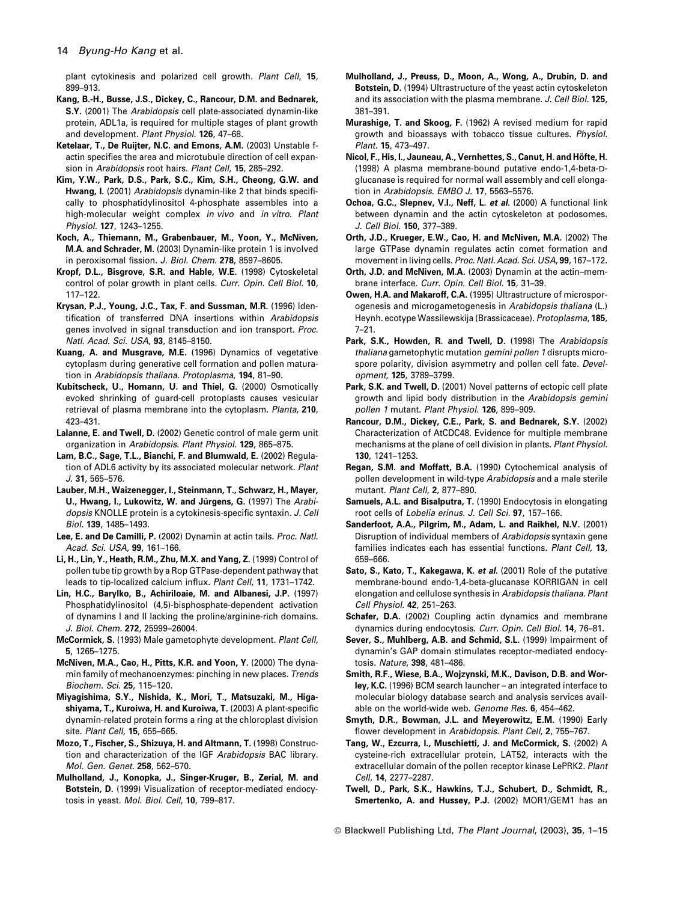plant cytokinesis and polarized cell growth. Plant Cell, 15, 899-913

- Kang, B.-H., Busse, J.S., Dickey, C., Rancour, D.M. and Bednarek, S.Y. (2001) The Arabidopsis cell plate-associated dynamin-like protein, ADL1a, is required for multiple stages of plant growth and development. Plant Physiol. 126, 47-68.
- Ketelaar, T., De Ruijter, N.C. and Emons, A.M. (2003) Unstable factin specifies the area and microtubule direction of cell expansion in Arabidopsis root hairs. Plant Cell. 15, 285-292.
- Kim, Y.W., Park, D.S., Park, S.C., Kim, S.H., Cheong, G.W. and Hwang, I. (2001) Arabidopsis dynamin-like 2 that binds specifically to phosphatidylinositol 4-phosphate assembles into a high-molecular weight complex in vivo and in vitro. Plant Physiol. 127, 1243-1255.
- Koch, A., Thiemann, M., Grabenbauer, M., Yoon, Y., McNiven, M.A. and Schrader, M. (2003) Dynamin-like protein 1 is involved in peroxisomal fission. J. Biol. Chem. 278, 8597-8605.
- Kropf, D.L., Bisgrove, S.R. and Hable, W.E. (1998) Cytoskeletal control of polar growth in plant cells. Curr. Opin. Cell Biol. 10.  $117 - 122.$
- Krysan, P.J., Young, J.C., Tax, F. and Sussman, M.R. (1996) Identification of transferred DNA insertions within Arabidopsis genes involved in signal transduction and ion transport. Proc. Natl. Acad. Sci. USA, 93, 8145-8150.
- Kuang, A. and Musgrave, M.E. (1996) Dynamics of vegetative cytoplasm during generative cell formation and pollen maturation in Arabidopsis thaliana. Protoplasma, 194, 81-90.
- Kubitscheck, U., Homann, U. and Thiel, G. (2000) Osmotically evoked shrinking of guard-cell protoplasts causes vesicular retrieval of plasma membrane into the cytoplasm. Planta, 210,  $423 - 431$
- Lalanne, E. and Twell, D. (2002) Genetic control of male germ unit organization in Arabidopsis. Plant Physiol. 129, 865-875.
- Lam, B.C., Sage, T.L., Bianchi, F. and Blumwald, E. (2002) Regulation of ADL6 activity by its associated molecular network. Plant  $J.31.565 - 576.$
- Lauber, M.H., Waizenegger, I., Steinmann, T., Schwarz, H., Mayer, U., Hwang, I., Lukowitz, W. and Jürgens, G. (1997) The Arabidopsis KNOLLE protein is a cytokinesis-specific syntaxin. J. Cell Biol. 139, 1485-1493.
- Lee, E. and De Camilli, P. (2002) Dynamin at actin tails. Proc. Natl. Acad. Sci. USA, 99, 161-166.
- Li, H., Lin, Y., Heath, R.M., Zhu, M.X. and Yang, Z. (1999) Control of pollen tube tip growth by a Rop GTPase-dependent pathway that leads to tip-localized calcium influx. Plant Cell, 11, 1731-1742.
- Lin, H.C., Barylko, B., Achiriloaie, M. and Albanesi, J.P. (1997) Phosphatidylinositol (4,5)-bisphosphate-dependent activation of dvnamins I and II lacking the proline/arginine-rich domains. J. Biol. Chem. 272, 25999-26004.
- McCormick, S. (1993) Male gametophyte development. Plant Cell, 5, 1265-1275.
- McNiven, M.A., Cao, H., Pitts, K.R. and Yoon, Y. (2000) The dynamin family of mechanoenzymes: pinching in new places, Trends Biochem. Sci. 25, 115-120.
- Miyagishima, S.Y., Nishida, K., Mori, T., Matsuzaki, M., Higashiyama, T., Kuroiwa, H. and Kuroiwa, T. (2003) A plant-specific dynamin-related protein forms a ring at the chloroplast division site. Plant Cell, 15, 655-665.
- Mozo, T., Fischer, S., Shizuya, H. and Altmann, T. (1998) Construction and characterization of the IGF Arabidopsis BAC library. Mol. Gen. Genet. 258, 562-570.
- Mulholland, J., Konopka, J., Singer-Kruger, B., Zerial, M. and Botstein, D. (1999) Visualization of receptor-mediated endocytosis in yeast. Mol. Biol. Cell. 10, 799-817.
- Mulholland, J., Preuss, D., Moon, A., Wong, A., Drubin, D. and Botstein, D. (1994) Ultrastructure of the yeast actin cytoskeleton and its association with the plasma membrane. J. Cell Biol. 125, 381-391.
- Murashige, T. and Skoog, F. (1962) A revised medium for rapid growth and bioassays with tobacco tissue cultures. Physiol. Plant. 15, 473-497.
- Nicol, F., His, I., Jauneau, A., Vernhettes, S., Canut, H. and Höfte, H. (1998) A plasma membrane-bound putative endo-1.4-beta-Dglucanase is required for normal wall assembly and cell elongation in Arabidopsis. EMBO J. 17, 5563-5576.
- Ochoa, G.C., Slepnev, V.I., Neff, L. et al. (2000) A functional link between dynamin and the actin cytoskeleton at podosomes. J. Cell Biol. 150, 377-389.
- Orth, J.D., Krueger, E.W., Cao, H. and McNiven, M.A. (2002) The large GTPase dynamin regulates actin comet formation and movement in living cells. Proc. Natl. Acad. Sci. USA, 99, 167-172.
- Orth, J.D. and McNiven, M.A. (2003) Dynamin at the actin-membrane interface, Curr, Opin, Cell Biol, 15, 31-39.
- Owen, H.A. and Makaroff, C.A. (1995) Ultrastructure of microsporogenesis and microgametogenesis in Arabidopsis thaliana (L.) Heynh. ecotype Wassilewskija (Brassicaceae). Protoplasma, 185,  $7 - 21.$
- Park, S.K., Howden, R. and Twell, D. (1998) The Arabidopsis thaliana gametophytic mutation *gemini pollen 1* disrupts microspore polarity, division asymmetry and pollen cell fate. Development. 125, 3789-3799.
- Park, S.K. and Twell, D. (2001) Novel patterns of ectopic cell plate growth and lipid body distribution in the Arabidopsis gemini pollen 1 mutant. Plant Physiol. 126, 899-909.
- Rancour, D.M., Dickey, C.E., Park, S. and Bednarek, S.Y. (2002) Characterization of AtCDC48. Evidence for multiple membrane mechanisms at the plane of cell division in plants. Plant Physiol. 130, 1241-1253.
- Regan, S.M. and Moffatt, B.A. (1990) Cytochemical analysis of pollen development in wild-type Arabidopsis and a male sterile mutant. Plant Cell, 2, 877-890.
- Samuels, A.L. and Bisalputra, T. (1990) Endocytosis in elongating root cells of Lobelia erinus. J. Cell Sci. 97, 157-166.
- Sanderfoot, A.A., Pilgrim, M., Adam, L. and Raikhel, N.V. (2001) Disruption of individual members of Arabidopsis syntaxin gene families indicates each has essential functions. Plant Cell. 13. 659-666.
- Sato, S., Kato, T., Kakegawa, K. et al. (2001) Role of the putative membrane-bound endo-1,4-beta-glucanase KORRIGAN in cell elongation and cellulose synthesis in Arabidopsis thaliana. Plant Cell Physiol. 42, 251-263.
- Schafer, D.A. (2002) Coupling actin dynamics and membrane dynamics during endocytosis. Curr. Opin. Cell Biol. 14, 76-81.
- Sever, S., Muhlberg, A.B. and Schmid, S.L. (1999) Impairment of dynamin's GAP domain stimulates receptor-mediated endocytosis. Nature. 398. 481-486.
- Smith, R.F., Wiese, B.A., Woizvnski, M.K., Davison, D.B. and Worley, K.C. (1996) BCM search launcher - an integrated interface to molecular biology database search and analysis services available on the world-wide web. Genome Res. 6, 454-462.
- Smyth, D.R., Bowman, J.L. and Meyerowitz, E.M. (1990) Early flower development in Arabidopsis. Plant Cell, 2, 755-767.
- Tang, W., Ezcurra, I., Muschietti, J. and McCormick, S. (2002) A cysteine-rich extracellular protein, LAT52, interacts with the extracellular domain of the pollen receptor kinase LePRK2. Plant Cell, 14, 2277-2287.
- Twell, D., Park, S.K., Hawkins, T.J., Schubert, D., Schmidt, R., Smertenko, A. and Hussey, P.J. (2002) MOR1/GEM1 has an